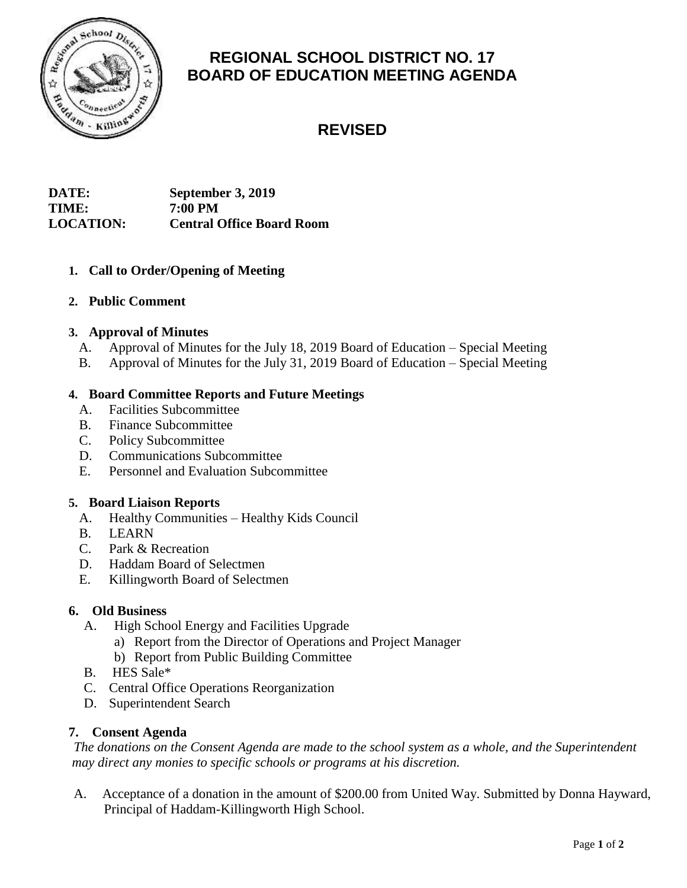

# **REGIONAL SCHOOL DISTRICT NO. 17 BOARD OF EDUCATION MEETING AGENDA**

# **REVISED**

# **DATE: September 3, 2019 TIME: 7:00 PM LOCATION: Central Office Board Room**

# **1. Call to Order/Opening of Meeting**

# **2. Public Comment**

### **3. Approval of Minutes**

- A. Approval of Minutes for the July 18, 2019 Board of Education Special Meeting
- B. Approval of Minutes for the July 31, 2019 Board of Education Special Meeting

# **4. Board Committee Reports and Future Meetings**

- A. Facilities Subcommittee
- B. Finance Subcommittee
- C. Policy Subcommittee
- D. Communications Subcommittee
- E. Personnel and Evaluation Subcommittee

### **5. Board Liaison Reports**

- A. Healthy Communities Healthy Kids Council
- B. LEARN
- C. Park & Recreation
- D. Haddam Board of Selectmen
- E. Killingworth Board of Selectmen

### **6. Old Business**

- A. High School Energy and Facilities Upgrade
	- a) Report from the Director of Operations and Project Manager
	- b) Report from Public Building Committee
- B. HES Sale\*
- C. Central Office Operations Reorganization
- D. Superintendent Search

### **7. Consent Agenda**

*The donations on the Consent Agenda are made to the school system as a whole, and the Superintendent may direct any monies to specific schools or programs at his discretion.* 

A. Acceptance of a donation in the amount of \$200.00 from United Way. Submitted by Donna Hayward, Principal of Haddam-Killingworth High School.